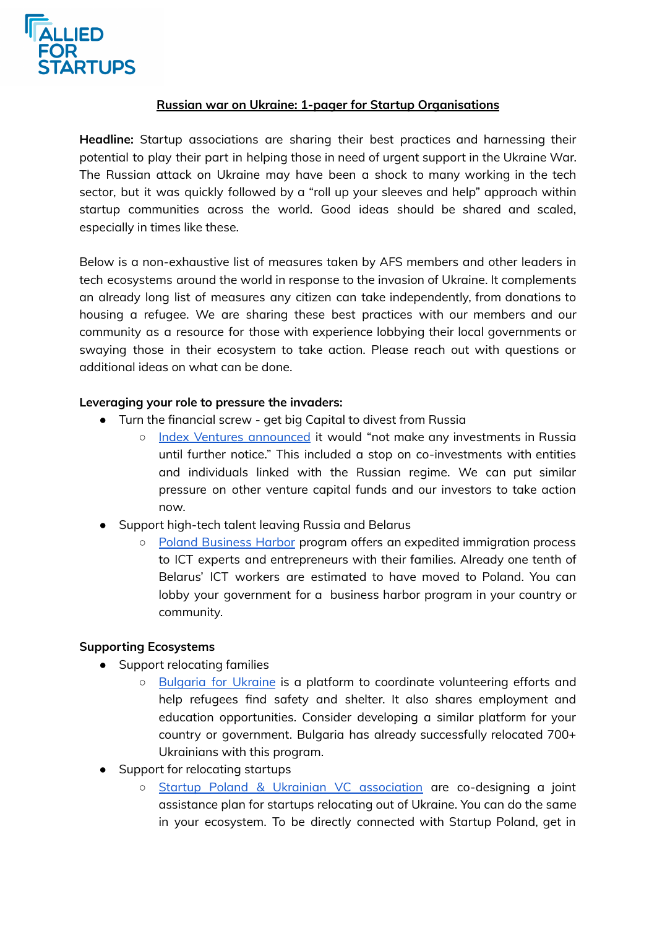

## **Russian war on Ukraine: 1-pager for Startup Organisations**

**Headline:** Startup associations are sharing their best practices and harnessing their potential to play their part in helping those in need of urgent support in the Ukraine War. The Russian attack on Ukraine may have been a shock to many working in the tech sector, but it was quickly followed by a "roll up your sleeves and help" approach within startup communities across the world. Good ideas should be shared and scaled, especially in times like these.

Below is a non-exhaustive list of measures taken by AFS members and other leaders in tech ecosystems around the world in response to the invasion of Ukraine. It complements an already long list of measures any citizen can take independently, from donations to housing a refugee. We are sharing these best practices with our members and our community as a resource for those with experience lobbying their local governments or swaying those in their ecosystem to take action. Please reach out with questions or additional ideas on what can be done.

## **Leveraging your role to pressure the invaders:**

- Turn the financial screw get big Capital to divest from Russia
	- Index Ventures [announced](https://www.indexventures.com/perspectives/we-stand-with-ukraine/) it would "not make any investments in Russia until further notice." This included a stop on co-investments with entities and individuals linked with the Russian regime. We can put similar pressure on other venture capital funds and our investors to take action now.
- Support high-tech talent leaving Russia and Belarus
	- Poland [Business](https://www.gov.pl/web/poland-businessharbour-en) Harbor program offers an expedited immigration process to ICT experts and entrepreneurs with their families. Already one tenth of Belarus' ICT workers are estimated to have moved to Poland. You can lobby your government for a business harbor program in your country or community.

## **Supporting Ecosystems**

- Support relocating families
	- [Bulgaria](https://ukraine.gov.bg/) for Ukraine is a platform to coordinate volunteering efforts and help refugees find safety and shelter. It also shares employment and education opportunities. Consider developing a similar platform for your country or government. Bulgaria has already successfully relocated 700+ Ukrainians with this program.
- Support for relocating startups
	- Startup Poland & Ukrainian VC [association](https://www.linkedin.com/feed/update/urn:li:activity:6904153237826727936/) are co-designing a joint assistance plan for startups relocating out of Ukraine. You can do the same in your ecosystem. To be directly connected with Startup Poland, get in